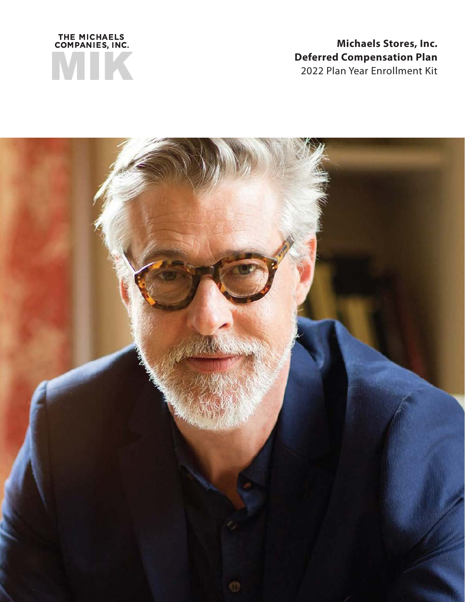

# **Michaels Stores, Inc. Deferred Compensation Plan** 2022 Plan Year Enrollment Kit

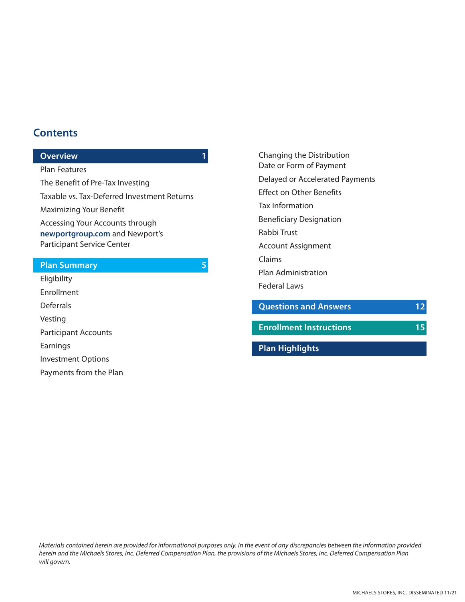## **Contents**

#### **Overview 1**

Plan Features The Benefit of Pre-Tax Investing Taxable vs. Tax-Deferred Investment Returns Maximizing Your Benefit Accessing Your Accounts through **newportgroup.com** and Newport's Participant Service Center

#### **Plan Summary 5**

Eligibility Enrollment **Deferrals** Vesting Participant Accounts Earnings Investment Options Payments from the Plan Changing the Distribution Date or Form of Payment Delayed or Accelerated Payments Effect on Other Benefits Tax Information Beneficiary Designation Rabbi Trust Account Assignment Claims Plan Administration Federal Laws **Questions and Answers 12 Enrollment Instructions 15**

**Plan Highlights**

*Materials contained herein are provided for informational purposes only. In the event of any discrepancies between the information provided herein and the Michaels Stores, Inc. Deferred Compensation Plan, the provisions of the Michaels Stores, Inc. Deferred Compensation Plan will govern.*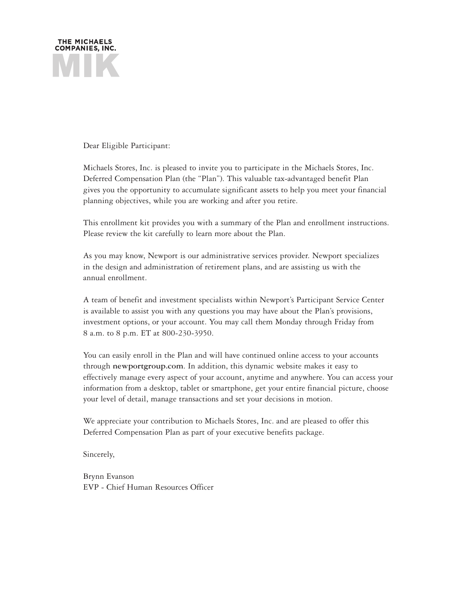

Dear Eligible Participant:

Michaels Stores, Inc. is pleased to invite you to participate in the Michaels Stores, Inc. Deferred Compensation Plan (the "Plan"). This valuable tax-advantaged benefit Plan gives you the opportunity to accumulate significant assets to help you meet your financial planning objectives, while you are working and after you retire.

This enrollment kit provides you with a summary of the Plan and enrollment instructions. Please review the kit carefully to learn more about the Plan.

As you may know, Newport is our administrative services provider. Newport specializes in the design and administration of retirement plans, and are assisting us with the annual enrollment.

A team of benefit and investment specialists within Newport's Participant Service Center is available to assist you with any questions you may have about the Plan's provisions, investment options, or your account. You may call them Monday through Friday from 8 a.m. to 8 p.m. ET at 800-230-3950.

You can easily enroll in the Plan and will have continued online access to your accounts through **newportgroup.com**. In addition, this dynamic website makes it easy to effectively manage every aspect of your account, anytime and anywhere. You can access your information from a desktop, tablet or smartphone, get your entire financial picture, choose your level of detail, manage transactions and set your decisions in motion.

We appreciate your contribution to Michaels Stores, Inc. and are pleased to offer this Deferred Compensation Plan as part of your executive benefits package.

Sincerely,

Brynn Evanson EVP - Chief Human Resources Officer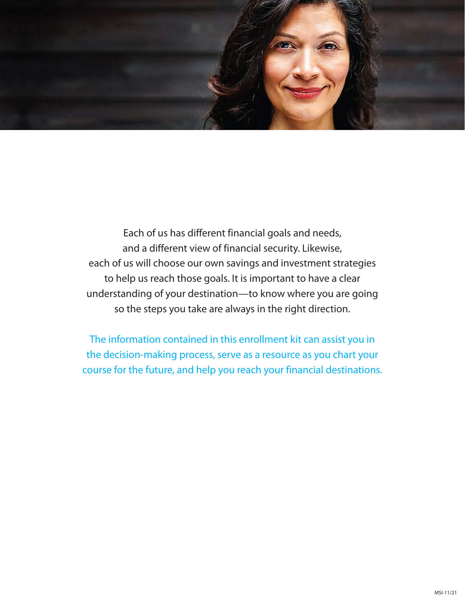

Each of us has different financial goals and needs, and a different view of financial security. Likewise, each of us will choose our own savings and investment strategies to help us reach those goals. It is important to have a clear understanding of your destination—to know where you are going so the steps you take are always in the right direction.

The information contained in this enrollment kit can assist you in the decision-making process, serve as a resource as you chart your course for the future, and help you reach your financial destinations.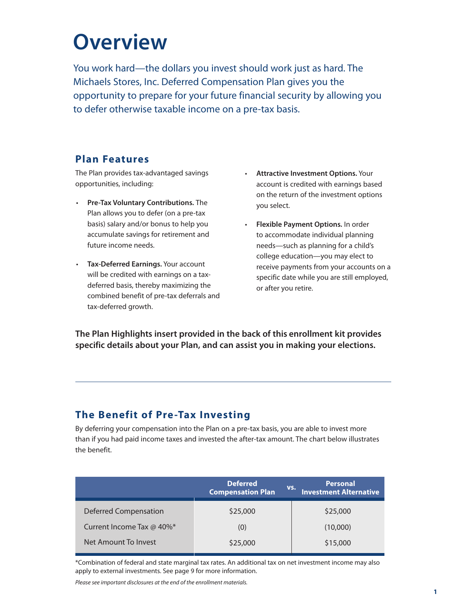# **Overview**

You work hard—the dollars you invest should work just as hard. The Michaels Stores, Inc. Deferred Compensation Plan gives you the opportunity to prepare for your future financial security by allowing you to defer otherwise taxable income on a pre-tax basis.

## **Plan Features**

The Plan provides tax-advantaged savings opportunities, including:

- **Pre-Tax Voluntary Contributions.** The Plan allows you to defer (on a pre-tax basis) salary and/or bonus to help you accumulate savings for retirement and future income needs.
- **Tax-Deferred Earnings.** Your account will be credited with earnings on a taxdeferred basis, thereby maximizing the combined benefit of pre-tax deferrals and tax-deferred growth.
- **Attractive Investment Options.** Your account is credited with earnings based on the return of the investment options you select.
- **Flexible Payment Options.** In order to accommodate individual planning needs—such as planning for a child's college education—you may elect to receive payments from your accounts on a specific date while you are still employed, or after you retire.

**The Plan Highlights insert provided in the back of this enrollment kit provides specific details about your Plan, and can assist you in making your elections.**

# **The Benefit of Pre-Tax Investing**

By deferring your compensation into the Plan on a pre-tax basis, you are able to invest more than if you had paid income taxes and invested the after-tax amount. The chart below illustrates the benefit.

|                              | <b>Deferred</b><br><b>Compensation Plan</b> | <b>Personal</b><br>VS.<br><b>Investment Alternative</b> |
|------------------------------|---------------------------------------------|---------------------------------------------------------|
| <b>Deferred Compensation</b> | \$25,000                                    | \$25,000                                                |
| Current Income Tax @ 40%*    | (0)                                         | (10,000)                                                |
| Net Amount To Invest         | \$25,000                                    | \$15,000                                                |

\*Combination of federal and state marginal tax rates. An additional tax on net investment income may also apply to external investments. See page 9 for more information.

*Please see important disclosures at the end of the enrollment materials.*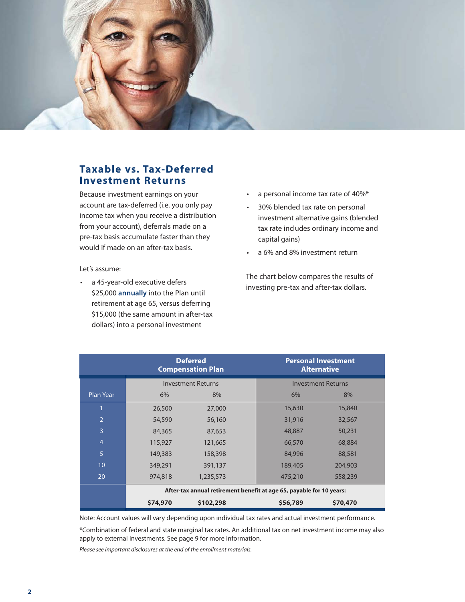

## **Taxable vs. Tax-Deferred Investment Returns**

Because investment earnings on your account are tax-deferred (i.e. you only pay income tax when you receive a distribution from your account), deferrals made on a pre-tax basis accumulate faster than they would if made on an after-tax basis.

#### Let's assume:

• a 45-year-old executive defers \$25,000 **annually** into the Plan until retirement at age 65, versus deferring \$15,000 (the same amount in after-tax dollars) into a personal investment

- a personal income tax rate of 40%\*
- 30% blended tax rate on personal investment alternative gains (blended tax rate includes ordinary income and capital gains)
- a 6% and 8% investment return

The chart below compares the results of investing pre-tax and after-tax dollars.

|                | <b>Deferred</b><br><b>Compensation Plan</b>                          |           | <b>Personal Investment</b><br><b>Alternative</b> |          |  |
|----------------|----------------------------------------------------------------------|-----------|--------------------------------------------------|----------|--|
|                | <b>Investment Returns</b>                                            |           | <b>Investment Returns</b>                        |          |  |
| Plan Year      | 6%                                                                   | 8%        | 6%                                               | 8%       |  |
|                | 26,500                                                               | 27,000    | 15,630                                           | 15,840   |  |
| $\overline{2}$ | 54,590                                                               | 56,160    | 31,916                                           | 32,567   |  |
| 3              | 84,365                                                               | 87,653    | 48,887                                           | 50,231   |  |
| $\overline{4}$ | 115,927                                                              | 121,665   | 66,570                                           | 68,884   |  |
| 5              | 149,383                                                              | 158,398   | 84,996                                           | 88,581   |  |
| 10             | 349,291                                                              | 391,137   | 189,405                                          | 204,903  |  |
| 20             | 974,818                                                              | 1,235,573 | 475,210                                          | 558,239  |  |
|                | After-tax annual retirement benefit at age 65, payable for 10 years: |           |                                                  |          |  |
|                | \$74,970                                                             | \$102,298 | \$56,789                                         | \$70,470 |  |

Note: Account values will vary depending upon individual tax rates and actual investment performance.

\*Combination of federal and state marginal tax rates. An additional tax on net investment income may also apply to external investments. See page 9 for more information.

*Please see important disclosures at the end of the enrollment materials.*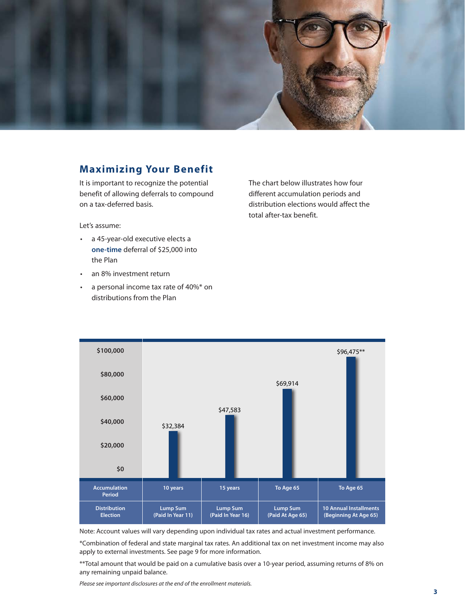

## **Maximizing Your Benefit**

It is important to recognize the potential benefit of allowing deferrals to compound on a tax-deferred basis.

Let's assume:

- a 45-year-old executive elects a **one-time** deferral of \$25,000 into the Plan
- an 8% investment return
- a personal income tax rate of 40%\* on distributions from the Plan

The chart below illustrates how four different accumulation periods and distribution elections would affect the total after-tax benefit.



Note: Account values will vary depending upon individual tax rates and actual investment performance.

\*Combination of federal and state marginal tax rates. An additional tax on net investment income may also apply to external investments. See page 9 for more information.

\*\*Total amount that would be paid on a cumulative basis over a 10-year period, assuming returns of 8% on any remaining unpaid balance.

*Please see important disclosures at the end of the enrollment materials.*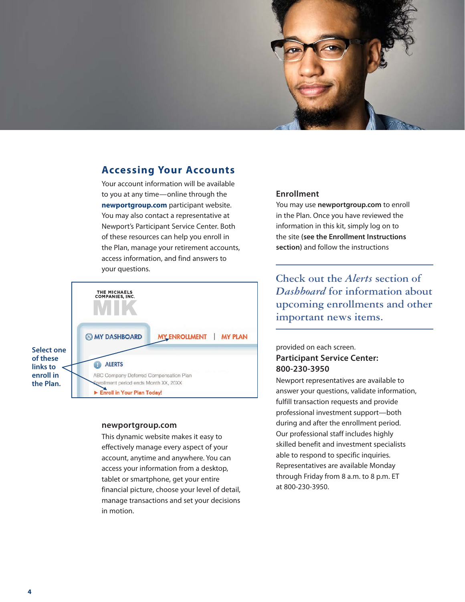

## **Accessing Your Accounts**

Your account information will be available to you at any time—online through the **newportgroup.com** participant website. You may also contact a representative at Newport's Participant Service Center. Both of these resources can help you enroll in the Plan, manage your retirement accounts, access information, and find answers to your questions.



#### **newportgroup.com**

This dynamic website makes it easy to effectively manage every aspect of your account, anytime and anywhere. You can access your information from a desktop, tablet or smartphone, get your entire financial picture, choose your level of detail, manage transactions and set your decisions in motion.

#### **Enrollment**

You may use **newportgroup.com** to enroll in the Plan. Once you have reviewed the information in this kit, simply log on to the site **(see the Enrollment Instructions section)** and follow the instructions

**Check out the** *Alerts* **section of**  *Dashboard* **for information about upcoming enrollments and other important news items.**

#### provided on each screen. **Participant Service Center: 800-230-3950**

Newport representatives are available to answer your questions, validate information, fulfill transaction requests and provide professional investment support—both during and after the enrollment period. Our professional staff includes highly skilled benefit and investment specialists able to respond to specific inquiries. Representatives are available Monday through Friday from 8 a.m. to 8 p.m. ET at 800-230-3950.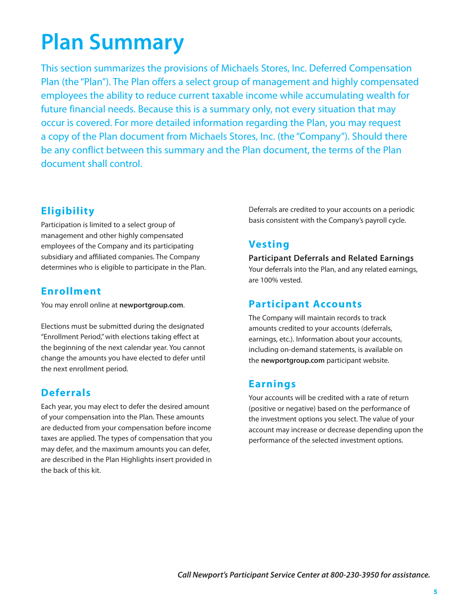# **Plan Summary**

This section summarizes the provisions of Michaels Stores, Inc. Deferred Compensation Plan (the "Plan"). The Plan offers a select group of management and highly compensated employees the ability to reduce current taxable income while accumulating wealth for future financial needs. Because this is a summary only, not every situation that may occur is covered. For more detailed information regarding the Plan, you may request a copy of the Plan document from Michaels Stores, Inc. (the "Company"). Should there be any conflict between this summary and the Plan document, the terms of the Plan document shall control.

# **Eligibility**

Participation is limited to a select group of management and other highly compensated employees of the Company and its participating subsidiary and affiliated companies. The Company determines who is eligible to participate in the Plan.

## **Enrollment**

You may enroll online at **newportgroup.com**.

Elections must be submitted during the designated "Enrollment Period," with elections taking effect at the beginning of the next calendar year. You cannot change the amounts you have elected to defer until the next enrollment period.

# **Deferrals**

Each year, you may elect to defer the desired amount of your compensation into the Plan. These amounts are deducted from your compensation before income taxes are applied. The types of compensation that you may defer, and the maximum amounts you can defer, are described in the Plan Highlights insert provided in the back of this kit.

Deferrals are credited to your accounts on a periodic basis consistent with the Company's payroll cycle.

# **Vesting**

**Participant Deferrals and Related Earnings** Your deferrals into the Plan, and any related earnings, are 100% vested.

# **Participant Accounts**

The Company will maintain records to track amounts credited to your accounts (deferrals, earnings, etc.). Information about your accounts, including on-demand statements, is available on the **newportgroup.com** participant website.

# **Earnings**

Your accounts will be credited with a rate of return (positive or negative) based on the performance of the investment options you select. The value of your account may increase or decrease depending upon the performance of the selected investment options.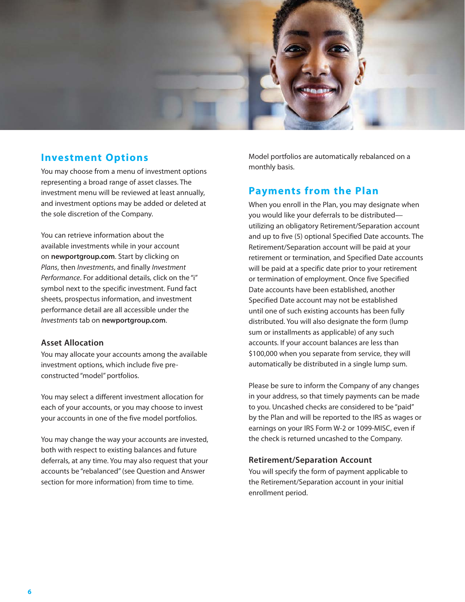

### **Investment Options**

You may choose from a menu of investment options representing a broad range of asset classes. The investment menu will be reviewed at least annually, and investment options may be added or deleted at the sole discretion of the Company.

You can retrieve information about the available investments while in your account on **newportgroup.com**. Start by clicking on *Plans*, then *Investments*, and finally *Investment Performance*. For additional details, click on the "i" symbol next to the specific investment. Fund fact sheets, prospectus information, and investment performance detail are all accessible under the *Investments* tab on **newportgroup.com**.

#### **Asset Allocation**

You may allocate your accounts among the available investment options, which include five preconstructed "model" portfolios.

You may select a different investment allocation for each of your accounts, or you may choose to invest your accounts in one of the five model portfolios.

You may change the way your accounts are invested, both with respect to existing balances and future deferrals, at any time. You may also request that your accounts be "rebalanced" (see Question and Answer section for more information) from time to time.

Model portfolios are automatically rebalanced on a monthly basis.

## **Payments from the Plan**

When you enroll in the Plan, you may designate when you would like your deferrals to be distributed utilizing an obligatory Retirement/Separation account and up to five (5) optional Specified Date accounts. The Retirement/Separation account will be paid at your retirement or termination, and Specified Date accounts will be paid at a specific date prior to your retirement or termination of employment. Once five Specified Date accounts have been established, another Specified Date account may not be established until one of such existing accounts has been fully distributed. You will also designate the form (lump sum or installments as applicable) of any such accounts. If your account balances are less than \$100,000 when you separate from service, they will automatically be distributed in a single lump sum.

Please be sure to inform the Company of any changes in your address, so that timely payments can be made to you. Uncashed checks are considered to be "paid" by the Plan and will be reported to the IRS as wages or earnings on your IRS Form W-2 or 1099-MISC, even if the check is returned uncashed to the Company.

#### **Retirement/Separation Account**

You will specify the form of payment applicable to the Retirement/Separation account in your initial enrollment period.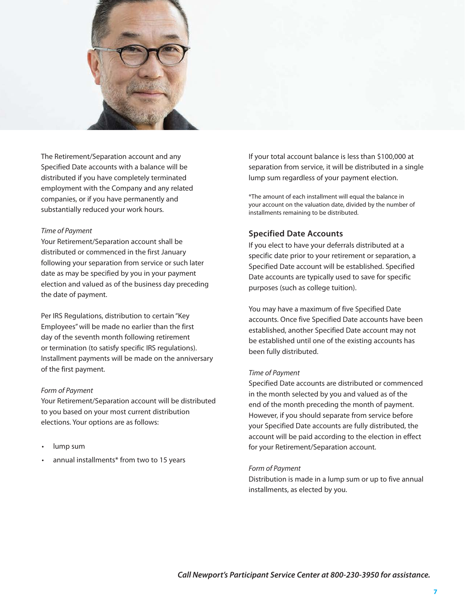

The Retirement/Separation account and any Specified Date accounts with a balance will be distributed if you have completely terminated employment with the Company and any related companies, or if you have permanently and substantially reduced your work hours.

#### *Time of Payment*

Your Retirement/Separation account shall be distributed or commenced in the first January following your separation from service or such later date as may be specified by you in your payment election and valued as of the business day preceding the date of payment.

Per IRS Regulations, distribution to certain "Key Employees" will be made no earlier than the first day of the seventh month following retirement or termination (to satisfy specific IRS regulations). Installment payments will be made on the anniversary of the first payment.

#### *Form of Payment*

Your Retirement/Separation account will be distributed to you based on your most current distribution elections. Your options are as follows:

- lump sum
- annual installments\* from two to 15 years

If your total account balance is less than \$100,000 at separation from service, it will be distributed in a single lump sum regardless of your payment election.

\*The amount of each installment will equal the balance in your account on the valuation date, divided by the number of installments remaining to be distributed.

#### **Specified Date Accounts**

If you elect to have your deferrals distributed at a specific date prior to your retirement or separation, a Specified Date account will be established. Specified Date accounts are typically used to save for specific purposes (such as college tuition).

You may have a maximum of five Specified Date accounts. Once five Specified Date accounts have been established, another Specified Date account may not be established until one of the existing accounts has been fully distributed.

#### *Time of Payment*

Specified Date accounts are distributed or commenced in the month selected by you and valued as of the end of the month preceding the month of payment. However, if you should separate from service before your Specified Date accounts are fully distributed, the account will be paid according to the election in effect for your Retirement/Separation account.

#### *Form of Payment*

Distribution is made in a lump sum or up to five annual installments, as elected by you.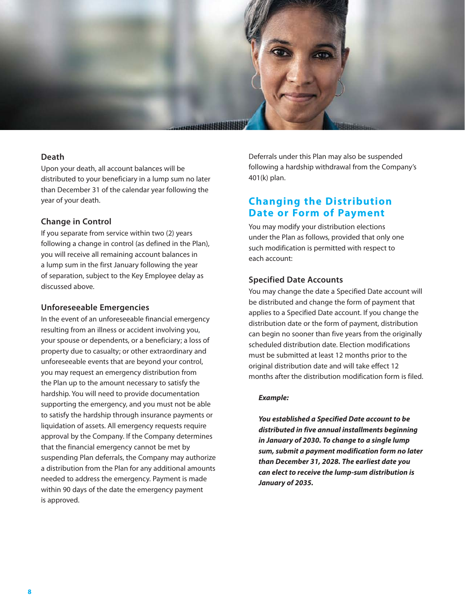

#### **Death**

Upon your death, all account balances will be distributed to your beneficiary in a lump sum no later than December 31 of the calendar year following the year of your death.

#### **Change in Control**

If you separate from service within two (2) years following a change in control (as defined in the Plan), you will receive all remaining account balances in a lump sum in the first January following the year of separation, subject to the Key Employee delay as discussed above.

#### **Unforeseeable Emergencies**

In the event of an unforeseeable financial emergency resulting from an illness or accident involving you, your spouse or dependents, or a beneficiary; a loss of property due to casualty; or other extraordinary and unforeseeable events that are beyond your control, you may request an emergency distribution from the Plan up to the amount necessary to satisfy the hardship. You will need to provide documentation supporting the emergency, and you must not be able to satisfy the hardship through insurance payments or liquidation of assets. All emergency requests require approval by the Company. If the Company determines that the financial emergency cannot be met by suspending Plan deferrals, the Company may authorize a distribution from the Plan for any additional amounts needed to address the emergency. Payment is made within 90 days of the date the emergency payment is approved.

Deferrals under this Plan may also be suspended following a hardship withdrawal from the Company's 401(k) plan.

## **Changing the Distribution Date or Form of Payment**

You may modify your distribution elections under the Plan as follows, provided that only one such modification is permitted with respect to each account:

#### **Specified Date Accounts**

You may change the date a Specified Date account will be distributed and change the form of payment that applies to a Specified Date account. If you change the distribution date or the form of payment, distribution can begin no sooner than five years from the originally scheduled distribution date. Election modifications must be submitted at least 12 months prior to the original distribution date and will take effect 12 months after the distribution modification form is filed.

#### *Example:*

*You established a Specified Date account to be distributed in five annual installments beginning in January of 2030. To change to a single lump sum, submit a payment modification form no later than December 31, 2028. The earliest date you can elect to receive the lump-sum distribution is January of 2035.*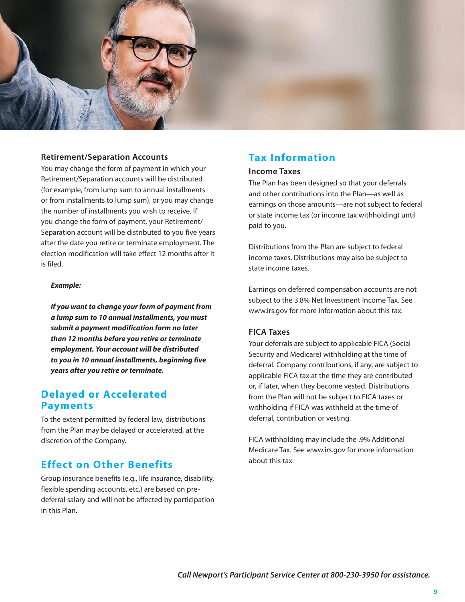

#### **Retirement/Separation Accounts**

You may change the form of payment in which your Retirement/Separation accounts will be distributed (for example, from lump sum to annual installments or from installments to lump sum), or you may change the number of installments you wish to receive. If you change the form of payment, your Retirement/ Separation account will be distributed to you five years after the date you retire or terminate employment. The election modification will take effect 12 months after it is filed.

#### *Example:*

*If you want to change your form of payment from a lump sum to 10 annual installments, you must submit a payment modification form no later than 12 months before you retire or terminate employment. Your account will be distributed to you in 10 annual installments, beginning five years after you retire or terminate.*

## **Delayed or Accelerated Payments**

To the extent permitted by federal law, distributions from the Plan may be delayed or accelerated, at the discretion of the Company.

### **Effect on Other Benefits**

Group insurance benefits (e.g., life insurance, disability, flexible spending accounts, etc.) are based on predeferral salary and will not be affected by participation in this Plan.

## **Tax Information**

#### **Income Taxes**

The Plan has been designed so that your deferrals and other contributions into the Plan—as well as earnings on those amounts—are not subject to federal or state income tax (or income tax withholding) until paid to you.

Distributions from the Plan are subject to federal income taxes. Distributions may also be subject to state income taxes.

Earnings on deferred compensation accounts are not subject to the 3.8% Net Investment Income Tax. See www.irs.gov for more information about this tax.

#### **FICA Taxes**

Your deferrals are subject to applicable FICA (Social Security and Medicare) withholding at the time of deferral. Company contributions, if any, are subject to applicable FICA tax at the time they are contributed or, if later, when they become vested. Distributions from the Plan will not be subject to FICA taxes or withholding if FICA was withheld at the time of deferral, contribution or vesting.

FICA withholding may include the .9% Additional Medicare Tax. See www.irs.gov for more information about this tax.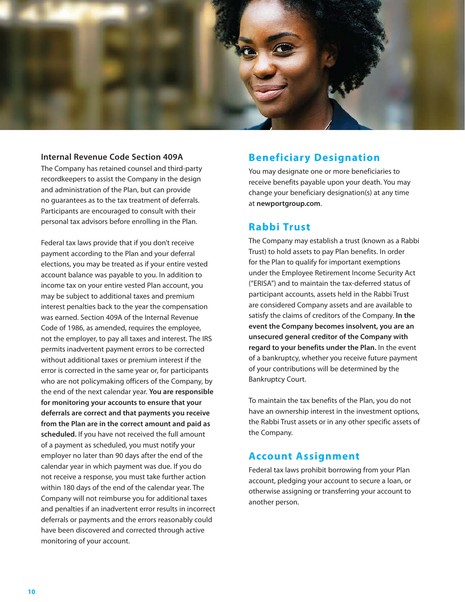

#### **Internal Revenue Code Section 409A**

The Company has retained counsel and third-party recordkeepers to assist the Company in the design and administration of the Plan, but can provide no guarantees as to the tax treatment of deferrals. Participants are encouraged to consult with their personal tax advisors before enrolling in the Plan.

Federal tax laws provide that if you don't receive payment according to the Plan and your deferral elections, you may be treated as if your entire vested account balance was payable to you. In addition to income tax on your entire vested Plan account, you may be subject to additional taxes and premium interest penalties back to the year the compensation was earned. Section 409A of the Internal Revenue Code of 1986, as amended, requires the employee, not the employer, to pay all taxes and interest. The IRS permits inadvertent payment errors to be corrected without additional taxes or premium interest if the error is corrected in the same year or, for participants who are not policymaking officers of the Company, by the end of the next calendar year. **You are responsible for monitoring your accounts to ensure that your deferrals are correct and that payments you receive from the Plan are in the correct amount and paid as scheduled.** If you have not received the full amount of a payment as scheduled, you must notify your employer no later than 90 days after the end of the calendar year in which payment was due. If you do not receive a response, you must take further action within 180 days of the end of the calendar year. The Company will not reimburse you for additional taxes and penalties if an inadvertent error results in incorrect deferrals or payments and the errors reasonably could have been discovered and corrected through active monitoring of your account.

## **Beneficiary Designation**

You may designate one or more beneficiaries to receive benefits payable upon your death. You may change your beneficiary designation(s) at any time at **newportgroup.com**.

#### **Rabbi Trust**

The Company may establish a trust (known as a Rabbi Trust) to hold assets to pay Plan benefits. In order for the Plan to qualify for important exemptions under the Employee Retirement Income Security Act ("ERISA") and to maintain the tax-deferred status of participant accounts, assets held in the Rabbi Trust are considered Company assets and are available to satisfy the claims of creditors of the Company. **In the event the Company becomes insolvent, you are an unsecured general creditor of the Company with regard to your benefits under the Plan.** In the event of a bankruptcy, whether you receive future payment of your contributions will be determined by the Bankruptcy Court.

To maintain the tax benefits of the Plan, you do not have an ownership interest in the investment options, the Rabbi Trust assets or in any other specific assets of the Company.

### **Account Assignment**

Federal tax laws prohibit borrowing from your Plan account, pledging your account to secure a loan, or otherwise assigning or transferring your account to another person.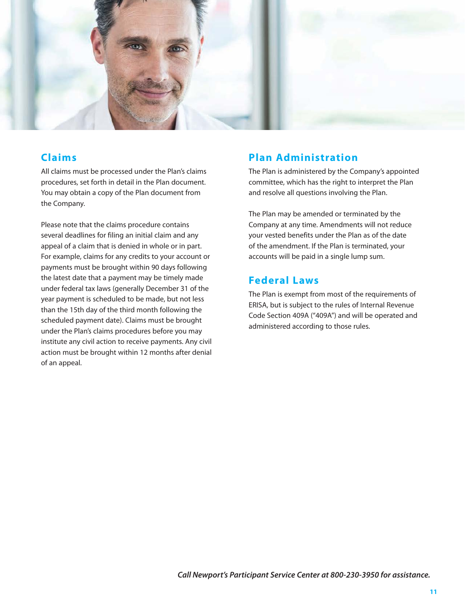

## **Claims**

All claims must be processed under the Plan's claims procedures, set forth in detail in the Plan document. You may obtain a copy of the Plan document from the Company.

Please note that the claims procedure contains several deadlines for filing an initial claim and any appeal of a claim that is denied in whole or in part. For example, claims for any credits to your account or payments must be brought within 90 days following the latest date that a payment may be timely made under federal tax laws (generally December 31 of the year payment is scheduled to be made, but not less than the 15th day of the third month following the scheduled payment date). Claims must be brought under the Plan's claims procedures before you may institute any civil action to receive payments. Any civil action must be brought within 12 months after denial of an appeal.

## **Plan Administration**

The Plan is administered by the Company's appointed committee, which has the right to interpret the Plan and resolve all questions involving the Plan.

The Plan may be amended or terminated by the Company at any time. Amendments will not reduce your vested benefits under the Plan as of the date of the amendment. If the Plan is terminated, your accounts will be paid in a single lump sum.

## **Federal Laws**

The Plan is exempt from most of the requirements of ERISA, but is subject to the rules of Internal Revenue Code Section 409A ("409A") and will be operated and administered according to those rules.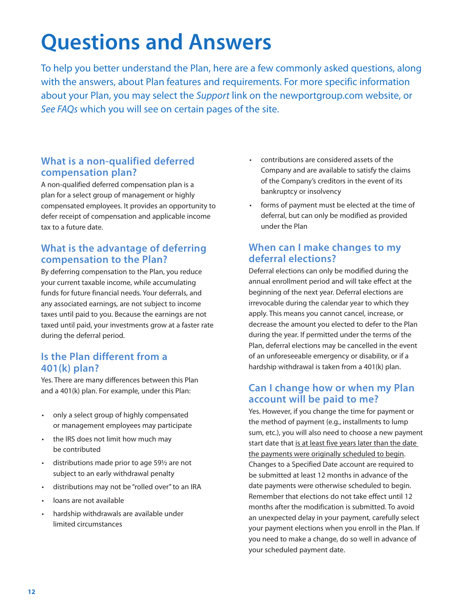# **Questions and Answers**

To help you better understand the Plan, here are a few commonly asked questions, along with the answers, about Plan features and requirements. For more specific information about your Plan, you may select the *Support* link on the newportgroup.com website, or *See FAQs* which you will see on certain pages of the site.

## **What is a non-qualified deferred compensation plan?**

A non-qualified deferred compensation plan is a plan for a select group of management or highly compensated employees. It provides an opportunity to defer receipt of compensation and applicable income tax to a future date.

## **What is the advantage of deferring compensation to the Plan?**

By deferring compensation to the Plan, you reduce your current taxable income, while accumulating funds for future financial needs. Your deferrals, and any associated earnings, are not subject to income taxes until paid to you. Because the earnings are not taxed until paid, your investments grow at a faster rate during the deferral period.

## **Is the Plan different from a 401(k) plan?**

Yes. There are many differences between this Plan and a 401(k) plan. For example, under this Plan:

- only a select group of highly compensated or management employees may participate
- the IRS does not limit how much may be contributed
- distributions made prior to age 59½ are not subject to an early withdrawal penalty
- distributions may not be "rolled over" to an IRA
- loans are not available
- hardship withdrawals are available under limited circumstances
- contributions are considered assets of the Company and are available to satisfy the claims of the Company's creditors in the event of its bankruptcy or insolvency
- forms of payment must be elected at the time of deferral, but can only be modified as provided under the Plan

## **When can I make changes to my deferral elections?**

Deferral elections can only be modified during the annual enrollment period and will take effect at the beginning of the next year. Deferral elections are irrevocable during the calendar year to which they apply. This means you cannot cancel, increase, or decrease the amount you elected to defer to the Plan during the year. If permitted under the terms of the Plan, deferral elections may be cancelled in the event of an unforeseeable emergency or disability, or if a hardship withdrawal is taken from a 401(k) plan.

## **Can I change how or when my Plan account will be paid to me?**

Yes. However, if you change the time for payment or the method of payment (e.g., installments to lump sum, etc.), you will also need to choose a new payment start date that is at least five years later than the date the payments were originally scheduled to begin. Changes to a Specified Date account are required to be submitted at least 12 months in advance of the date payments were otherwise scheduled to begin. Remember that elections do not take effect until 12 months after the modification is submitted. To avoid an unexpected delay in your payment, carefully select your payment elections when you enroll in the Plan. If you need to make a change, do so well in advance of your scheduled payment date.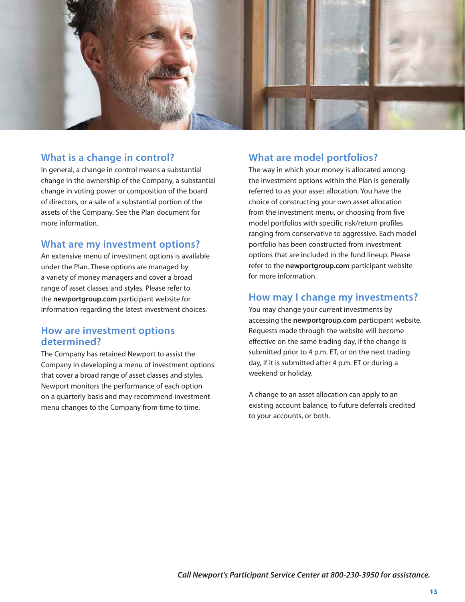

## **What is a change in control?**

In general, a change in control means a substantial change in the ownership of the Company, a substantial change in voting power or composition of the board of directors, or a sale of a substantial portion of the assets of the Company. See the Plan document for more information.

### **What are my investment options?**

An extensive menu of investment options is available under the Plan. These options are managed by a variety of money managers and cover a broad range of asset classes and styles. Please refer to the **newportgroup.com** participant website for information regarding the latest investment choices.

### **How are investment options determined?**

The Company has retained Newport to assist the Company in developing a menu of investment options that cover a broad range of asset classes and styles. Newport monitors the performance of each option on a quarterly basis and may recommend investment menu changes to the Company from time to time.

### **What are model portfolios?**

The way in which your money is allocated among the investment options within the Plan is generally referred to as your asset allocation. You have the choice of constructing your own asset allocation from the investment menu, or choosing from five model portfolios with specific risk/return profiles ranging from conservative to aggressive. Each model portfolio has been constructed from investment options that are included in the fund lineup. Please refer to the **newportgroup.com** participant website for more information.

## **How may I change my investments?**

You may change your current investments by accessing the **newportgroup.com** participant website. Requests made through the website will become effective on the same trading day, if the change is submitted prior to 4 p.m. ET, or on the next trading day, if it is submitted after 4 p.m. ET or during a weekend or holiday.

A change to an asset allocation can apply to an existing account balance, to future deferrals credited to your accounts, or both.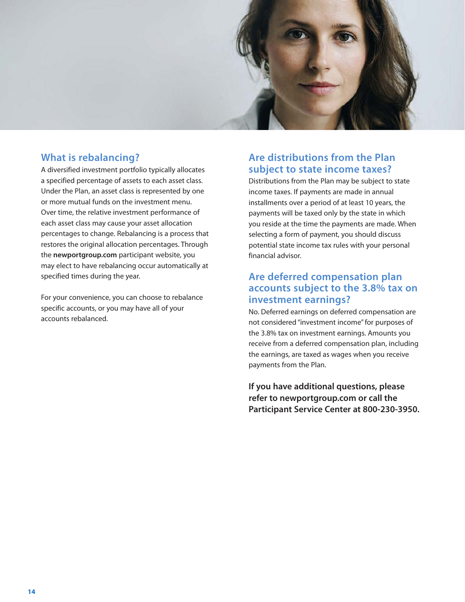

## **What is rebalancing?**

A diversified investment portfolio typically allocates a specified percentage of assets to each asset class. Under the Plan, an asset class is represented by one or more mutual funds on the investment menu. Over time, the relative investment performance of each asset class may cause your asset allocation percentages to change. Rebalancing is a process that restores the original allocation percentages. Through the **newportgroup.com** participant website, you may elect to have rebalancing occur automatically at specified times during the year.

For your convenience, you can choose to rebalance specific accounts, or you may have all of your accounts rebalanced.

## **Are distributions from the Plan subject to state income taxes?**

Distributions from the Plan may be subject to state income taxes. If payments are made in annual installments over a period of at least 10 years, the payments will be taxed only by the state in which you reside at the time the payments are made. When selecting a form of payment, you should discuss potential state income tax rules with your personal financial advisor.

## **Are deferred compensation plan accounts subject to the 3.8% tax on investment earnings?**

No. Deferred earnings on deferred compensation are not considered "investment income" for purposes of the 3.8% tax on investment earnings. Amounts you receive from a deferred compensation plan, including the earnings, are taxed as wages when you receive payments from the Plan.

**If you have additional questions, please refer to newportgroup.com or call the Participant Service Center at 800-230-3950.**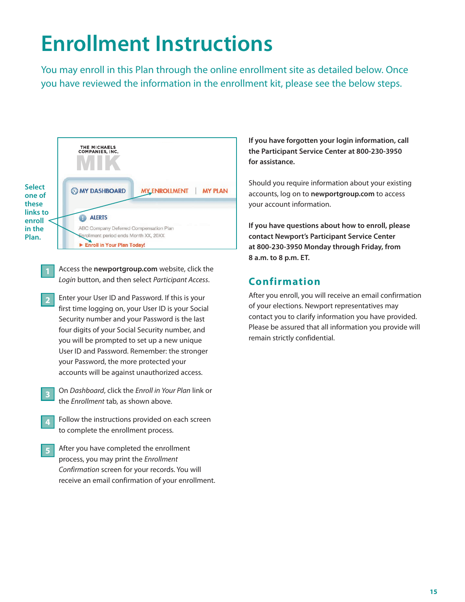# **Enrollment Instructions**

You may enroll in this Plan through the online enrollment site as detailed below. Once you have reviewed the information in the enrollment kit, please see the below steps.



- Access the **newportgroup.com** website, click the *Login* button, and then select *Participant Access*.
- **Enter your User ID and Password. If this is your** first time logging on, your User ID is your Social Security number and your Password is the last four digits of your Social Security number, and you will be prompted to set up a new unique User ID and Password. Remember: the stronger your Password, the more protected your accounts will be against unauthorized access. **2**
- On *Dashboard*, click the *Enroll in Your Plan* link or the *Enrollment* tab, as shown above. **3**
- Follow the instructions provided on each screen to complete the enrollment process. **4**
- After you have completed the enrollment process, you may print the *Enrollment Confirmation* screen for your records. You will receive an email confirmation of your enrollment. **5**

**If you have forgotten your login information, call the Participant Service Center at 800-230-3950 for assistance.**

Should you require information about your existing accounts, log on to **newportgroup.com** to access your account information.

**If you have questions about how to enroll, please contact Newport's Participant Service Center at 800-230-3950 Monday through Friday, from 8 a.m. to 8 p.m. ET.** 

## **Confirmation**

After you enroll, you will receive an email confirmation of your elections. Newport representatives may contact you to clarify information you have provided. Please be assured that all information you provide will remain strictly confidential.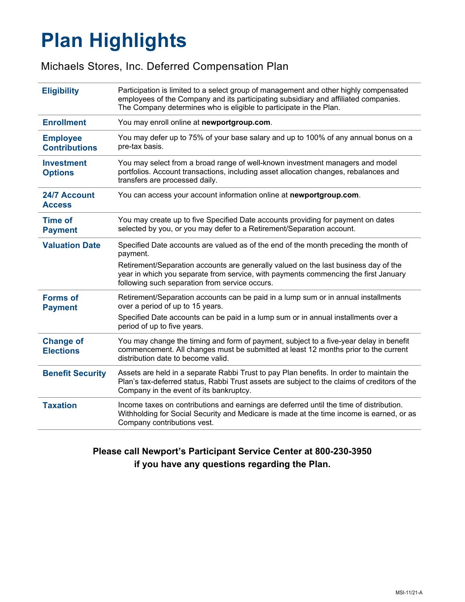# **Plan Highlights**

# Michaels Stores, Inc. Deferred Compensation Plan

| <b>Eligibility</b>                      | Participation is limited to a select group of management and other highly compensated<br>employees of the Company and its participating subsidiary and affiliated companies.<br>The Company determines who is eligible to participate in the Plan. |
|-----------------------------------------|----------------------------------------------------------------------------------------------------------------------------------------------------------------------------------------------------------------------------------------------------|
| <b>Enrollment</b>                       | You may enroll online at newportgroup.com.                                                                                                                                                                                                         |
| <b>Employee</b><br><b>Contributions</b> | You may defer up to 75% of your base salary and up to 100% of any annual bonus on a<br>pre-tax basis.                                                                                                                                              |
| <b>Investment</b><br><b>Options</b>     | You may select from a broad range of well-known investment managers and model<br>portfolios. Account transactions, including asset allocation changes, rebalances and<br>transfers are processed daily.                                            |
| 24/7 Account<br><b>Access</b>           | You can access your account information online at newportgroup.com.                                                                                                                                                                                |
| <b>Time of</b><br><b>Payment</b>        | You may create up to five Specified Date accounts providing for payment on dates<br>selected by you, or you may defer to a Retirement/Separation account.                                                                                          |
| <b>Valuation Date</b>                   | Specified Date accounts are valued as of the end of the month preceding the month of<br>payment.                                                                                                                                                   |
|                                         | Retirement/Separation accounts are generally valued on the last business day of the<br>year in which you separate from service, with payments commencing the first January<br>following such separation from service occurs.                       |
| <b>Forms of</b><br><b>Payment</b>       | Retirement/Separation accounts can be paid in a lump sum or in annual installments<br>over a period of up to 15 years.                                                                                                                             |
|                                         | Specified Date accounts can be paid in a lump sum or in annual installments over a<br>period of up to five years.                                                                                                                                  |
| <b>Change of</b><br><b>Elections</b>    | You may change the timing and form of payment, subject to a five-year delay in benefit<br>commencement. All changes must be submitted at least 12 months prior to the current<br>distribution date to become valid.                                |
| <b>Benefit Security</b>                 | Assets are held in a separate Rabbi Trust to pay Plan benefits. In order to maintain the<br>Plan's tax-deferred status, Rabbi Trust assets are subject to the claims of creditors of the<br>Company in the event of its bankruptcy.                |
| <b>Taxation</b>                         | Income taxes on contributions and earnings are deferred until the time of distribution.<br>Withholding for Social Security and Medicare is made at the time income is earned, or as<br>Company contributions vest.                                 |

# **Please call Newport's Participant Service Center at 800-230-3950 if you have any questions regarding the Plan.**